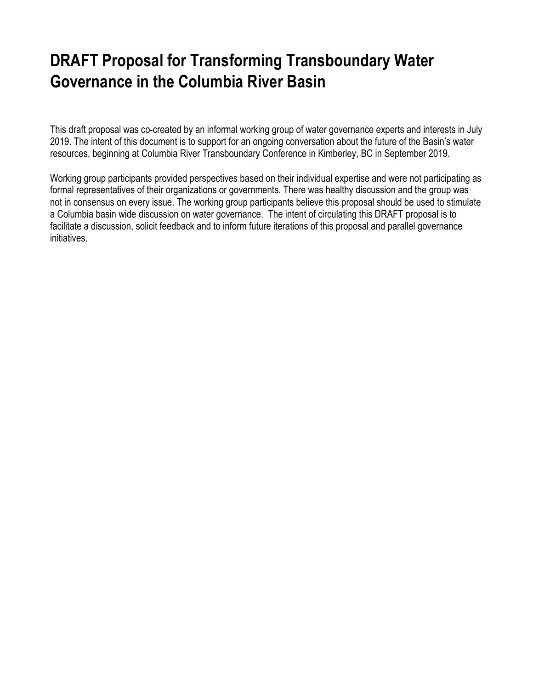This draft proposal was co-created by an informal working group of water governance experts and interests in July 2019. The intent of this document is to support for an ongoing conversation about the future of the Basin's water resources, beginning at Columbia River Transboundary Conference in Kimberley, BC in September 2019.

Working group participants provided perspectives based on their individual expertise and were not participating as formal representatives of their organizations or governments. There was healthy discussion and the group was not in consensus on every issue. The working group participants believe this proposal should be used to stimulate a Columbia basin wide discussion on water governance. The intent of circulating this DRAFT proposal is to facilitate a discussion, solicit feedback and to inform future iterations of this proposal and parallel governance initiatives.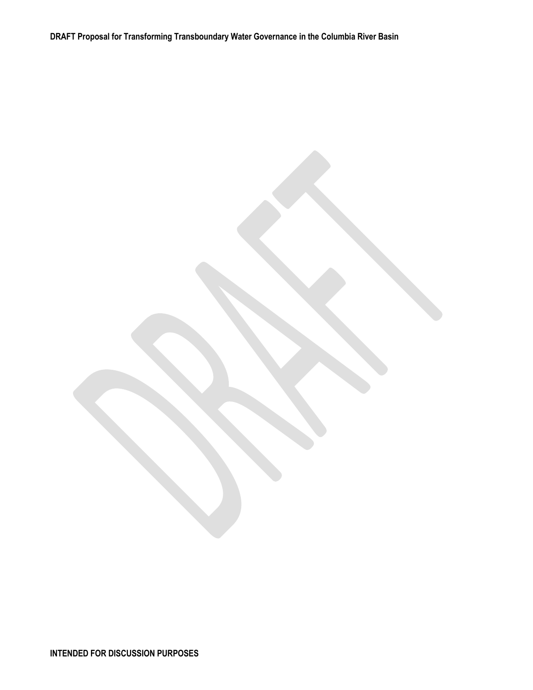**INTENDED FOR DISCUSSION PURPOSES**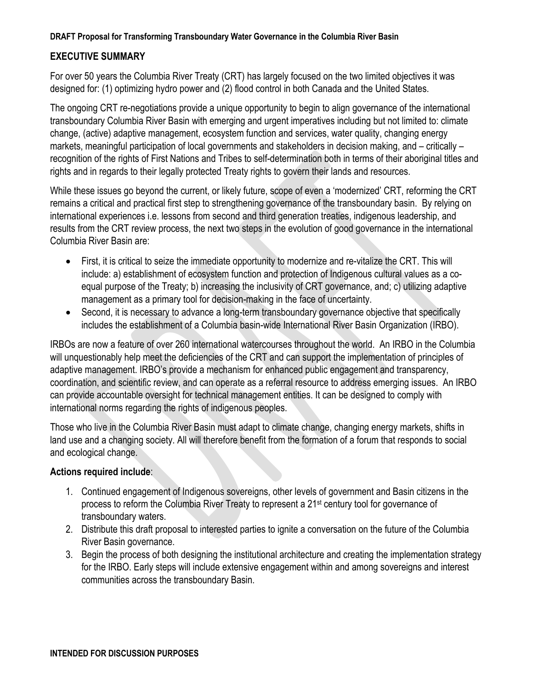# **EXECUTIVE SUMMARY**

For over 50 years the Columbia River Treaty (CRT) has largely focused on the two limited objectives it was designed for: (1) optimizing hydro power and (2) flood control in both Canada and the United States.

The ongoing CRT re-negotiations provide a unique opportunity to begin to align governance of the international transboundary Columbia River Basin with emerging and urgent imperatives including but not limited to: climate change, (active) adaptive management, ecosystem function and services, water quality, changing energy markets, meaningful participation of local governments and stakeholders in decision making, and – critically – recognition of the rights of First Nations and Tribes to self-determination both in terms of their aboriginal titles and rights and in regards to their legally protected Treaty rights to govern their lands and resources.

While these issues go beyond the current, or likely future, scope of even a 'modernized' CRT, reforming the CRT remains a critical and practical first step to strengthening governance of the transboundary basin. By relying on international experiences i.e. lessons from second and third generation treaties, indigenous leadership, and results from the CRT review process, the next two steps in the evolution of good governance in the international Columbia River Basin are:

- First, it is critical to seize the immediate opportunity to modernize and re-vitalize the CRT. This will include: a) establishment of ecosystem function and protection of Indigenous cultural values as a coequal purpose of the Treaty; b) increasing the inclusivity of CRT governance, and; c) utilizing adaptive management as a primary tool for decision-making in the face of uncertainty.
- Second, it is necessary to advance a long-term transboundary governance objective that specifically includes the establishment of a Columbia basin-wide International River Basin Organization (IRBO).

IRBOs are now a feature of over 260 international watercourses throughout the world. An IRBO in the Columbia will unquestionably help meet the deficiencies of the CRT and can support the implementation of principles of adaptive management. IRBO's provide a mechanism for enhanced public engagement and transparency, coordination, and scientific review, and can operate as a referral resource to address emerging issues. An IRBO can provide accountable oversight for technical management entities. It can be designed to comply with international norms regarding the rights of indigenous peoples.

Those who live in the Columbia River Basin must adapt to climate change, changing energy markets, shifts in land use and a changing society. All will therefore benefit from the formation of a forum that responds to social and ecological change.

## **Actions required include**:

- 1. Continued engagement of Indigenous sovereigns, other levels of government and Basin citizens in the process to reform the Columbia River Treaty to represent a 21st century tool for governance of transboundary waters.
- 2. Distribute this draft proposal to interested parties to ignite a conversation on the future of the Columbia River Basin governance.
- 3. Begin the process of both designing the institutional architecture and creating the implementation strategy for the IRBO. Early steps will include extensive engagement within and among sovereigns and interest communities across the transboundary Basin.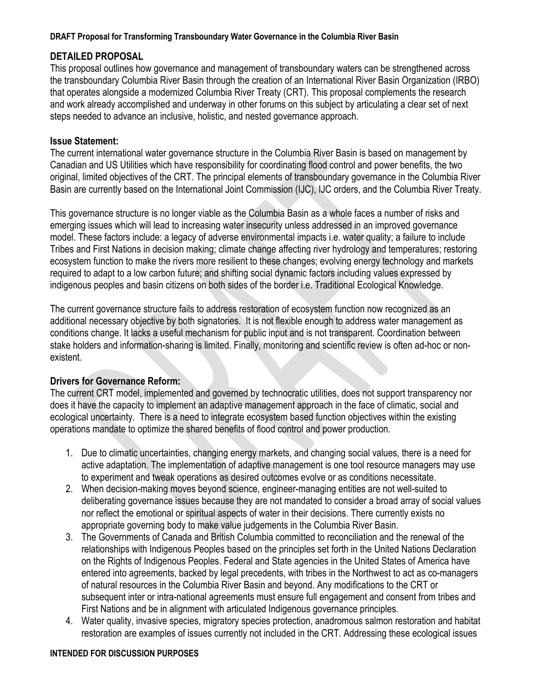## **DETAILED PROPOSAL**

This proposal outlines how governance and management of transboundary waters can be strengthened across the transboundary Columbia River Basin through the creation of an International River Basin Organization (IRBO) that operates alongside a modernized Columbia River Treaty (CRT). This proposal complements the research and work already accomplished and underway in other forums on this subject by articulating a clear set of next steps needed to advance an inclusive, holistic, and nested governance approach.

## **Issue Statement:**

The current international water governance structure in the Columbia River Basin is based on management by Canadian and US Utilities which have responsibility for coordinating flood control and power benefits, the two original, limited objectives of the CRT. The principal elements of transboundary governance in the Columbia River Basin are currently based on the International Joint Commission (IJC), IJC orders, and the Columbia River Treaty.

This governance structure is no longer viable as the Columbia Basin as a whole faces a number of risks and emerging issues which will lead to increasing water insecurity unless addressed in an improved governance model. These factors include: a legacy of adverse environmental impacts i.e. water quality; a failure to include Tribes and First Nations in decision making; climate change affecting river hydrology and temperatures; restoring ecosystem function to make the rivers more resilient to these changes; evolving energy technology and markets required to adapt to a low carbon future; and shifting social dynamic factors including values expressed by indigenous peoples and basin citizens on both sides of the border i.e. Traditional Ecological Knowledge.

The current governance structure fails to address restoration of ecosystem function now recognized as an additional necessary objective by both signatories. It is not flexible enough to address water management as conditions change. It lacks a useful mechanism for public input and is not transparent. Coordination between stake holders and information-sharing is limited. Finally, monitoring and scientific review is often ad-hoc or nonexistent.

## **Drivers for Governance Reform:**

The current CRT model, implemented and governed by technocratic utilities, does not support transparency nor does it have the capacity to implement an adaptive management approach in the face of climatic, social and ecological uncertainty. There is a need to integrate ecosystem based function objectives within the existing operations mandate to optimize the shared benefits of flood control and power production.

- 1. Due to climatic uncertainties, changing energy markets, and changing social values, there is a need for active adaptation. The implementation of adaptive management is one tool resource managers may use to experiment and tweak operations as desired outcomes evolve or as conditions necessitate.
- 2. When decision-making moves beyond science, engineer-managing entities are not well-suited to deliberating governance issues because they are not mandated to consider a broad array of social values nor reflect the emotional or spiritual aspects of water in their decisions. There currently exists no appropriate governing body to make value judgements in the Columbia River Basin.
- 3. The Governments of Canada and British Columbia committed to reconciliation and the renewal of the relationships with Indigenous Peoples based on the principles set forth in the United Nations Declaration on the Rights of Indigenous Peoples. Federal and State agencies in the United States of America have entered into agreements, backed by legal precedents, with tribes in the Northwest to act as co-managers of natural resources in the Columbia River Basin and beyond. Any modifications to the CRT or subsequent inter or intra-national agreements must ensure full engagement and consent from tribes and First Nations and be in alignment with articulated Indigenous governance principles.
- 4. Water quality, invasive species, migratory species protection, anadromous salmon restoration and habitat restoration are examples of issues currently not included in the CRT. Addressing these ecological issues

#### **INTENDED FOR DISCUSSION PURPOSES**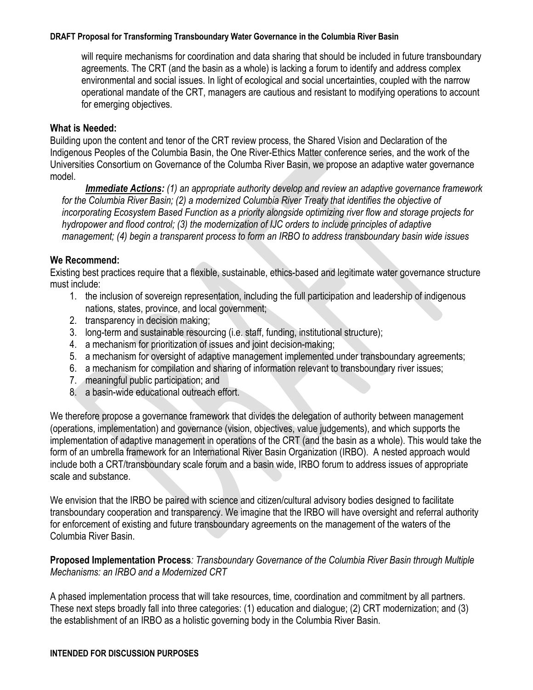will require mechanisms for coordination and data sharing that should be included in future transboundary agreements. The CRT (and the basin as a whole) is lacking a forum to identify and address complex environmental and social issues. In light of ecological and social uncertainties, coupled with the narrow operational mandate of the CRT, managers are cautious and resistant to modifying operations to account for emerging objectives.

## **What is Needed:**

Building upon the content and tenor of the CRT review process, the Shared Vision and Declaration of the Indigenous Peoples of the Columbia Basin, the One River-Ethics Matter conference series, and the work of the Universities Consortium on Governance of the Columba River Basin, we propose an adaptive water governance model.

*Immediate Actions: (1) an appropriate authority develop and review an adaptive governance framework for the Columbia River Basin; (2) a modernized Columbia River Treaty that identifies the objective of incorporating Ecosystem Based Function as a priority alongside optimizing river flow and storage projects for hydropower and flood control; (3) the modernization of IJC orders to include principles of adaptive management; (4) begin a transparent process to form an IRBO to address transboundary basin wide issues*

## **We Recommend:**

Existing best practices require that a flexible, sustainable, ethics-based and legitimate water governance structure must include:

- 1. the inclusion of sovereign representation, including the full participation and leadership of indigenous nations, states, province, and local government;
- 2. transparency in decision making;
- 3. long-term and sustainable resourcing (i.e. staff, funding, institutional structure);
- 4. a mechanism for prioritization of issues and joint decision-making;
- 5. a mechanism for oversight of adaptive management implemented under transboundary agreements;
- 6. a mechanism for compilation and sharing of information relevant to transboundary river issues;
- 7. meaningful public participation; and
- 8. a basin-wide educational outreach effort.

We therefore propose a governance framework that divides the delegation of authority between management (operations, implementation) and governance (vision, objectives, value judgements), and which supports the implementation of adaptive management in operations of the CRT (and the basin as a whole). This would take the form of an umbrella framework for an International River Basin Organization (IRBO). A nested approach would include both a CRT/transboundary scale forum and a basin wide, IRBO forum to address issues of appropriate scale and substance.

We envision that the IRBO be paired with science and citizen/cultural advisory bodies designed to facilitate transboundary cooperation and transparency. We imagine that the IRBO will have oversight and referral authority for enforcement of existing and future transboundary agreements on the management of the waters of the Columbia River Basin.

**Proposed Implementation Process***: Transboundary Governance of the Columbia River Basin through Multiple Mechanisms: an IRBO and a Modernized CRT*

A phased implementation process that will take resources, time, coordination and commitment by all partners. These next steps broadly fall into three categories: (1) education and dialogue; (2) CRT modernization; and (3) the establishment of an IRBO as a holistic governing body in the Columbia River Basin.

#### **INTENDED FOR DISCUSSION PURPOSES**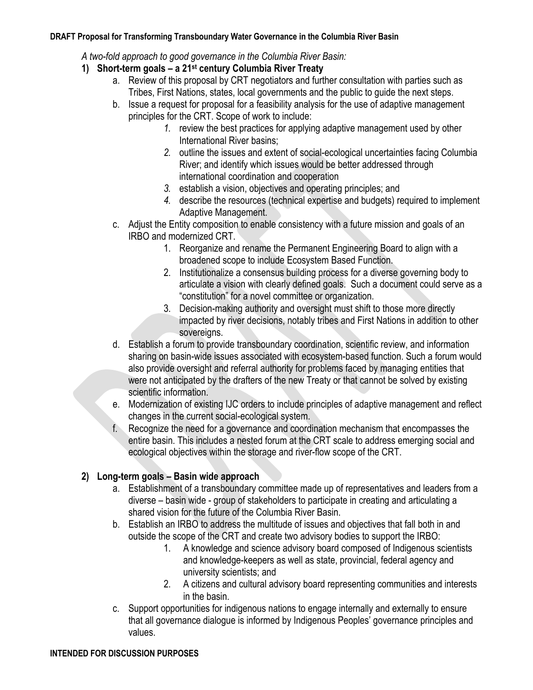*A two-fold approach to good governance in the Columbia River Basin:*

- **1) Short-term goals – a 21st century Columbia River Treaty**
	- a. Review of this proposal by CRT negotiators and further consultation with parties such as Tribes, First Nations, states, local governments and the public to guide the next steps.
	- b. Issue a request for proposal for a feasibility analysis for the use of adaptive management principles for the CRT. Scope of work to include:
		- *1.* review the best practices for applying adaptive management used by other International River basins;
		- *2.* outline the issues and extent of social-ecological uncertainties facing Columbia River; and identify which issues would be better addressed through international coordination and cooperation
		- *3.* establish a vision, objectives and operating principles; and
		- *4.* describe the resources (technical expertise and budgets) required to implement Adaptive Management.
	- c. Adjust the Entity composition to enable consistency with a future mission and goals of an IRBO and modernized CRT.
		- 1. Reorganize and rename the Permanent Engineering Board to align with a broadened scope to include Ecosystem Based Function.
		- 2. Institutionalize a consensus building process for a diverse governing body to articulate a vision with clearly defined goals. Such a document could serve as a "constitution" for a novel committee or organization.
		- 3. Decision-making authority and oversight must shift to those more directly impacted by river decisions, notably tribes and First Nations in addition to other sovereigns.
	- d. Establish a forum to provide transboundary coordination, scientific review, and information sharing on basin-wide issues associated with ecosystem-based function. Such a forum would also provide oversight and referral authority for problems faced by managing entities that were not anticipated by the drafters of the new Treaty or that cannot be solved by existing scientific information.
	- e. Modernization of existing IJC orders to include principles of adaptive management and reflect changes in the current social-ecological system.
	- f. Recognize the need for a governance and coordination mechanism that encompasses the entire basin. This includes a nested forum at the CRT scale to address emerging social and ecological objectives within the storage and river-flow scope of the CRT.

# **2) Long-term goals – Basin wide approach**

- a. Establishment of a transboundary committee made up of representatives and leaders from a diverse – basin wide - group of stakeholders to participate in creating and articulating a shared vision for the future of the Columbia River Basin.
- b. Establish an IRBO to address the multitude of issues and objectives that fall both in and outside the scope of the CRT and create two advisory bodies to support the IRBO:
	- 1. A knowledge and science advisory board composed of Indigenous scientists and knowledge-keepers as well as state, provincial, federal agency and university scientists; and
	- 2. A citizens and cultural advisory board representing communities and interests in the basin.
- c. Support opportunities for indigenous nations to engage internally and externally to ensure that all governance dialogue is informed by Indigenous Peoples' governance principles and values.